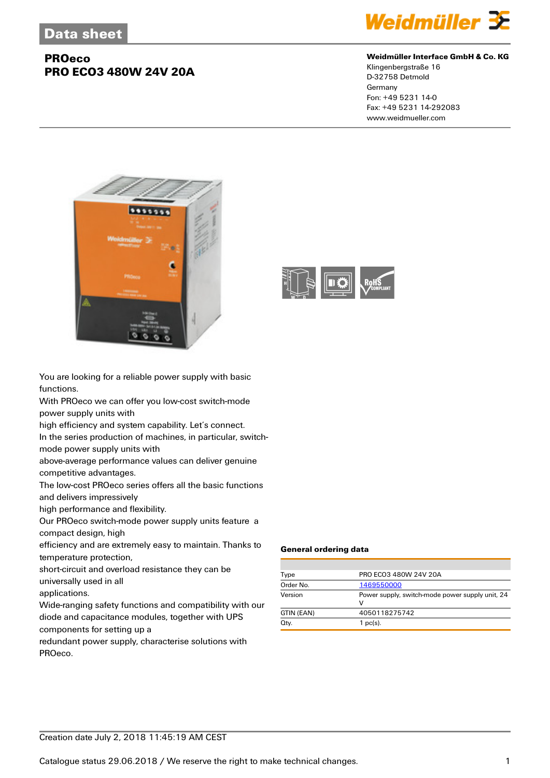

#### **Weidmüller Interface GmbH & Co. KG**

Klingenbergstraße 16 D-32758 Detmold Germany Fon: +49 5231 14-0 Fax: +49 5231 14-292083 www.weidmueller.com



You are looking for a reliable power supply with basic functions.

With PROeco we can offer you low-cost switch-mode power supply units with

high efficiency and system capability. Let's connect.

In the series production of machines, in particular, switchmode power supply units with

above-average performance values can deliver genuine

competitive advantages.

The low-cost PROeco series offers all the basic functions and delivers impressively

high performance and flexibility.

Our PROeco switch-mode power supply units feature a compact design, high

efficiency and are extremely easy to maintain. Thanks to temperature protection,

short-circuit and overload resistance they can be universally used in all

applications.

Wide-ranging safety functions and compatibility with our diode and capacitance modules, together with UPS components for setting up a

redundant power supply, characterise solutions with PROeco.



#### **General ordering data**

| Type       | PRO ECO3 480W 24V 20A                                |
|------------|------------------------------------------------------|
| Order No.  | 1469550000                                           |
| Version    | Power supply, switch-mode power supply unit, 24<br>v |
| GTIN (EAN) | 4050118275742                                        |
| Qty.       | $1$ pc(s).                                           |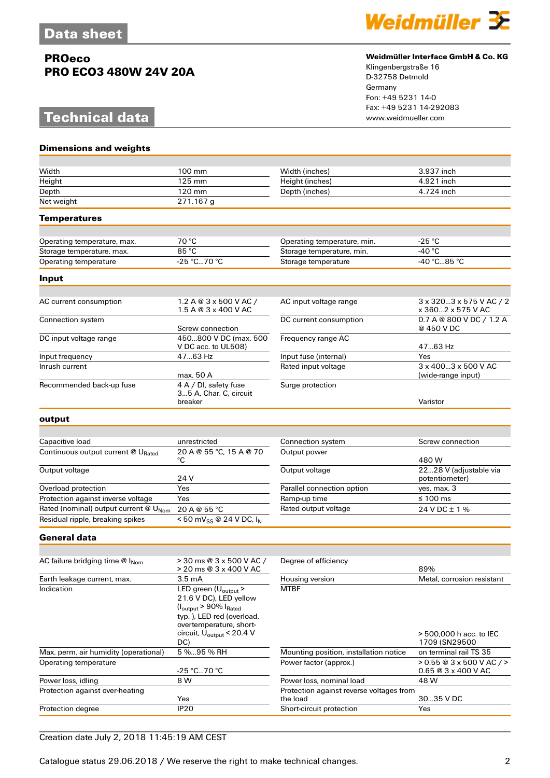# **Technical data**



#### **Weidmüller Interface GmbH & Co. KG**

Klingenbergstraße 16 D-32758 Detmold Germany Fon: +49 5231 14-0 Fax: +49 5231 14-292083

| <b>Dimensions and weights</b>         |                                                                                                                                                                                                                    |                                                      |                                                     |
|---------------------------------------|--------------------------------------------------------------------------------------------------------------------------------------------------------------------------------------------------------------------|------------------------------------------------------|-----------------------------------------------------|
|                                       |                                                                                                                                                                                                                    |                                                      |                                                     |
| Width                                 | 100 mm                                                                                                                                                                                                             | Width (inches)                                       | 3.937 inch                                          |
| Height                                | 125 mm                                                                                                                                                                                                             | Height (inches)                                      | 4.921 inch                                          |
| Depth                                 | 120 mm                                                                                                                                                                                                             | Depth (inches)                                       | 4.724 inch                                          |
| Net weight                            | $271.167$ g                                                                                                                                                                                                        |                                                      |                                                     |
| <b>Temperatures</b>                   |                                                                                                                                                                                                                    |                                                      |                                                     |
|                                       |                                                                                                                                                                                                                    |                                                      |                                                     |
| Operating temperature, max.           | 70 °C                                                                                                                                                                                                              | Operating temperature, min.                          | -25 °C                                              |
| Storage temperature, max.             | 85 °C                                                                                                                                                                                                              | Storage temperature, min.                            | -40 $^{\circ}$ C                                    |
| Operating temperature                 | $-25 °C70 °C$                                                                                                                                                                                                      | Storage temperature                                  | -40 °C85 °C                                         |
| Input                                 |                                                                                                                                                                                                                    |                                                      |                                                     |
|                                       |                                                                                                                                                                                                                    |                                                      |                                                     |
| AC current consumption                | 1.2 A @ 3 x 500 V AC /<br>1.5 A @ 3 x 400 V AC                                                                                                                                                                     | AC input voltage range                               | 3 x 3203 x 575 V AC / 2<br>x 3602 x 575 V AC        |
| Connection system                     | Screw connection                                                                                                                                                                                                   | DC current consumption                               | 0.7 A @ 800 V DC / 1.2 A<br>@ 450 V DC              |
| DC input voltage range                | 450800 V DC (max. 500<br>V DC acc. to UL508)                                                                                                                                                                       | Frequency range AC                                   | 47.63 Hz                                            |
| Input frequency                       | 47.63 Hz                                                                                                                                                                                                           | Input fuse (internal)                                | Yes                                                 |
| Inrush current                        | max. 50 A                                                                                                                                                                                                          | Rated input voltage                                  | 3 x 4003 x 500 V AC<br>(wide-range input)           |
| Recommended back-up fuse              | 4 A / DI, safety fuse<br>35 A, Char. C, circuit<br>breaker                                                                                                                                                         | Surge protection                                     | Varistor                                            |
|                                       |                                                                                                                                                                                                                    |                                                      |                                                     |
| output                                |                                                                                                                                                                                                                    |                                                      |                                                     |
|                                       |                                                                                                                                                                                                                    |                                                      |                                                     |
| Capacitive load                       | unrestricted                                                                                                                                                                                                       | Connection system                                    | Screw connection                                    |
| Continuous output current @ URated    | 20 A @ 55 °C, 15 A @ 70<br>°C                                                                                                                                                                                      | Output power                                         | 480 W                                               |
| Output voltage                        | 24 V                                                                                                                                                                                                               | Output voltage                                       | 2228 V (adjustable via<br>potentiometer)            |
| Overload protection                   | Yes                                                                                                                                                                                                                | Parallel connection option                           | yes, max. 3                                         |
| Protection against inverse voltage    | Yes                                                                                                                                                                                                                | Ramp-up time                                         | $\leq 100$ ms                                       |
| Rated (nominal) output current @ UNom | 20 A @ 55 °C                                                                                                                                                                                                       | Rated output voltage                                 | 24 V DC ± 1 %                                       |
| Residual ripple, breaking spikes      | $\frac{1}{50}$ mV <sub>SS</sub> @ 24 V DC, $I_N$                                                                                                                                                                   |                                                      |                                                     |
| <b>General data</b>                   |                                                                                                                                                                                                                    |                                                      |                                                     |
|                                       |                                                                                                                                                                                                                    |                                                      |                                                     |
| AC failure bridging time @ INom       | > 30 ms @ 3 x 500 V AC /<br>> 20 ms @ 3 x 400 V AC                                                                                                                                                                 | Degree of efficiency                                 | 89%                                                 |
| Earth leakage current, max.           | 3.5 mA                                                                                                                                                                                                             | Housing version                                      | Metal, corrosion resistant                          |
| Indication                            | LED green (U <sub>output</sub> ><br>21.6 V DC), LED yellow<br>$(I_{\text{output}} > 90\% I_{\text{Rated}}$<br>typ.), LED red (overload,<br>overtemperature, short-<br>circuit, U <sub>output</sub> < 20.4 V<br>DC) | <b>MTBF</b>                                          | > 500,000 h acc. to IEC<br>1709 (SN29500            |
| Max. perm. air humidity (operational) | 5 % 95 % RH                                                                                                                                                                                                        | Mounting position, installation notice               | on terminal rail TS 35                              |
| Operating temperature                 | -25 °C70 °C                                                                                                                                                                                                        | Power factor (approx.)                               | $> 0.55 @ 3x500 VAC$ / ><br>$0.65@3 \times 400 VAC$ |
| Power loss, idling                    | 8 W                                                                                                                                                                                                                | Power loss, nominal load                             | 48 W                                                |
| Protection against over-heating       | Yes                                                                                                                                                                                                                | Protection against reverse voltages from<br>the load | 3035 V DC                                           |
| Protection degree                     | IP <sub>20</sub>                                                                                                                                                                                                   | Short-circuit protection                             | Yes                                                 |
|                                       |                                                                                                                                                                                                                    |                                                      |                                                     |

### Creation date July 2, 2018 11:45:19 AM CEST

Catalogue status 29.06.2018 / We reserve the right to make technical changes. 2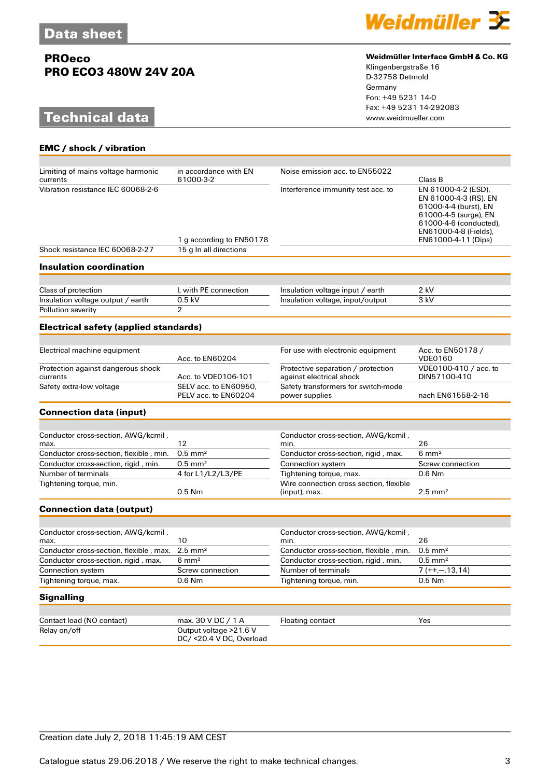# **Technical data**

**EMC / shock / vibration**



#### **Weidmüller Interface GmbH & Co. KG**

Klingenbergstraße 16 D-32758 Detmold Germany Fon: +49 5231 14-0 Fax: +49 5231 14-292083

| Limiting of mains voltage harmonic             | in accordance with EN                               | Noise emission acc. to EN55022                                 |                                                                                                                                                                          |
|------------------------------------------------|-----------------------------------------------------|----------------------------------------------------------------|--------------------------------------------------------------------------------------------------------------------------------------------------------------------------|
| currents                                       | 61000-3-2                                           |                                                                | Class B                                                                                                                                                                  |
| Vibration resistance IEC 60068-2-6             | 1 g according to EN50178                            | Interference immunity test acc. to                             | EN 61000-4-2 (ESD),<br>EN 61000-4-3 (RS), EN<br>61000-4-4 (burst), EN<br>61000-4-5 (surge), EN<br>61000-4-6 (conducted),<br>EN61000-4-8 (Fields),<br>EN61000-4-11 (Dips) |
| Shock resistance IEC 60068-2-27                | 15 g In all directions                              |                                                                |                                                                                                                                                                          |
| <b>Insulation coordination</b>                 |                                                     |                                                                |                                                                                                                                                                          |
|                                                |                                                     |                                                                |                                                                                                                                                                          |
| Class of protection                            | I, with PE connection                               | Insulation voltage input / earth                               | $2$ kV                                                                                                                                                                   |
| Insulation voltage output / earth              | $0.5$ kV                                            | Insulation voltage, input/output                               | 3 kV                                                                                                                                                                     |
| Pollution severity                             | $\overline{2}$                                      |                                                                |                                                                                                                                                                          |
| <b>Electrical safety (applied standards)</b>   |                                                     |                                                                |                                                                                                                                                                          |
|                                                |                                                     |                                                                |                                                                                                                                                                          |
| Electrical machine equipment                   | Acc. to EN60204                                     | For use with electronic equipment                              | Acc. to EN50178 /<br><b>VDE0160</b>                                                                                                                                      |
| Protection against dangerous shock<br>currents | Acc. to VDE0106-101                                 | Protective separation / protection<br>against electrical shock | VDE0100-410 / acc. to<br>DIN57100-410                                                                                                                                    |
| Safety extra-low voltage                       | SELV acc. to EN60950,<br>PELV acc. to EN60204       | Safety transformers for switch-mode<br>power supplies          | nach EN61558-2-16                                                                                                                                                        |
| <b>Connection data (input)</b>                 |                                                     |                                                                |                                                                                                                                                                          |
|                                                |                                                     |                                                                |                                                                                                                                                                          |
| Conductor cross-section, AWG/kcmil,<br>max.    | 12                                                  | Conductor cross-section, AWG/kcmil,<br>min.                    | 26                                                                                                                                                                       |
| Conductor cross-section, flexible, min.        | $0.5$ mm <sup>2</sup>                               | Conductor cross-section, rigid, max.                           | $6 \text{ mm}^2$                                                                                                                                                         |
| Conductor cross-section, rigid, min.           | $0.5$ mm <sup>2</sup>                               | Connection system                                              | Screw connection                                                                                                                                                         |
| Number of terminals                            | 4 for L1/L2/L3/PE                                   | Tightening torque, max.                                        | $0.6$ Nm                                                                                                                                                                 |
| Tightening torque, min.                        | $0.5$ Nm                                            | Wire connection cross section, flexible<br>(input), max.       | $2.5 \text{ mm}^2$                                                                                                                                                       |
| <b>Connection data (output)</b>                |                                                     |                                                                |                                                                                                                                                                          |
|                                                |                                                     |                                                                |                                                                                                                                                                          |
| , Conductor cross-section, AWG/kcmil<br>max.   | 10                                                  | Conductor cross-section, AWG/kcmil,<br>min.                    | 26                                                                                                                                                                       |
| Conductor cross-section, flexible, max.        | $2.5$ mm <sup>2</sup>                               | Conductor cross-section, flexible, min.                        | $0.5$ mm <sup>2</sup>                                                                                                                                                    |
| Conductor cross-section, rigid, max.           | $6 \text{ mm}^2$                                    | Conductor cross-section, rigid, min.                           | $0.5$ mm <sup>2</sup>                                                                                                                                                    |
| Connection system                              | Screw connection                                    | Number of terminals                                            | $7 (++, -, 13, 14)$                                                                                                                                                      |
| Tightening torque, max.                        | 0.6 Nm                                              | Tightening torque, min.                                        | $0.5$ Nm                                                                                                                                                                 |
| <b>Signalling</b>                              |                                                     |                                                                |                                                                                                                                                                          |
|                                                |                                                     |                                                                |                                                                                                                                                                          |
| Contact load (NO contact)                      | max. 30 V DC / 1 A                                  | <b>Floating contact</b>                                        | Yes                                                                                                                                                                      |
| Relay on/off                                   | Output voltage > 21.6 V<br>DC/ <20.4 V DC, Overload |                                                                |                                                                                                                                                                          |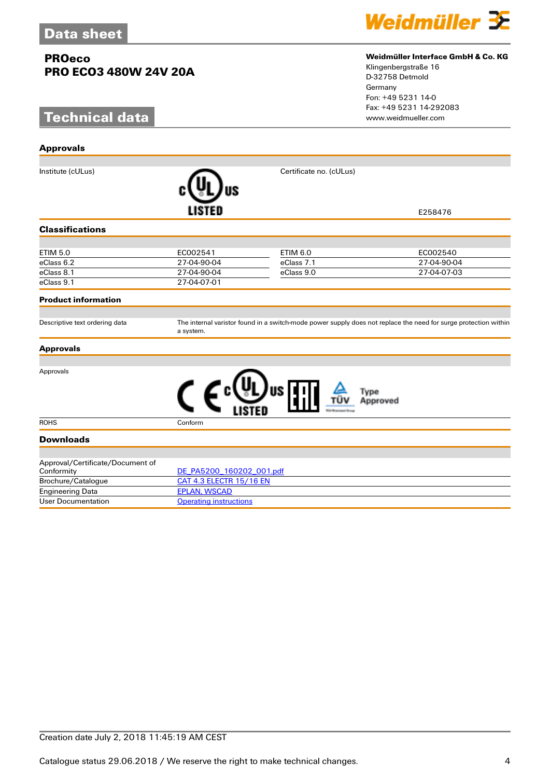# **Technical data**

**Approvals**



#### **Weidmüller Interface GmbH & Co. KG**

Klingenbergstraße 16 D-32758 Detmold Germany Fon: +49 5231 14-0 Fax: +49 5231 14-292083

| Institute (cULus)                              |                                | Certificate no. (cULus) |                                                                                                                 |
|------------------------------------------------|--------------------------------|-------------------------|-----------------------------------------------------------------------------------------------------------------|
|                                                | LISTED                         |                         | E258476                                                                                                         |
| <b>Classifications</b>                         |                                |                         |                                                                                                                 |
|                                                |                                |                         |                                                                                                                 |
| <b>ETIM 5.0</b>                                | EC002541                       | <b>ETIM 6.0</b>         | EC002540                                                                                                        |
| eClass 6.2                                     | 27-04-90-04                    | eClass 7.1              | 27-04-90-04                                                                                                     |
| eClass 8.1                                     | 27-04-90-04                    | eClass 9.0              | 27-04-07-03                                                                                                     |
| eClass 9.1                                     | 27-04-07-01                    |                         |                                                                                                                 |
| <b>Product information</b>                     |                                |                         |                                                                                                                 |
| Descriptive text ordering data                 | a system.                      |                         | The internal varistor found in a switch-mode power supply does not replace the need for surge protection within |
| <b>Approvals</b>                               |                                |                         |                                                                                                                 |
| Approvals                                      |                                | Type<br>Approved        |                                                                                                                 |
| <b>ROHS</b>                                    | Conform                        |                         |                                                                                                                 |
| <b>Downloads</b>                               |                                |                         |                                                                                                                 |
| Approval/Certificate/Document of<br>Conformity | DE PA5200 160202 001.pdf       |                         |                                                                                                                 |
| Brochure/Catalogue                             | <b>CAT 4.3 ELECTR 15/16 EN</b> |                         |                                                                                                                 |
| <b>Engineering Data</b>                        | <b>EPLAN, WSCAD</b>            |                         |                                                                                                                 |
| <b>User Documentation</b>                      | <b>Operating instructions</b>  |                         |                                                                                                                 |